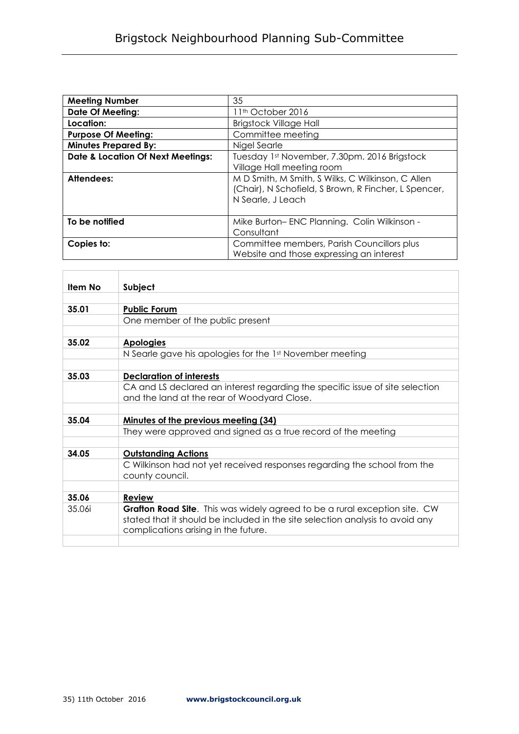| <b>Meeting Number</b>                        | 35                                                                                                                             |
|----------------------------------------------|--------------------------------------------------------------------------------------------------------------------------------|
| <b>Date Of Meeting:</b>                      | 11 <sup>th</sup> October 2016                                                                                                  |
| Location:                                    | <b>Brigstock Village Hall</b>                                                                                                  |
| <b>Purpose Of Meeting:</b>                   | Committee meeting                                                                                                              |
| <b>Minutes Prepared By:</b>                  | Nigel Searle                                                                                                                   |
| <b>Date &amp; Location Of Next Meetings:</b> | Tuesday 1st November, 7.30pm. 2016 Brigstock<br>Village Hall meeting room                                                      |
| Attendees:                                   | M D Smith, M Smith, S Wilks, C Wilkinson, C Allen<br>(Chair), N Schofield, S Brown, R Fincher, L Spencer,<br>N Searle, J Leach |
| To be notified                               | Mike Burton-ENC Planning. Colin Wilkinson -<br>Consultant                                                                      |
| Copies to:                                   | Committee members, Parish Councillors plus<br>Website and those expressing an interest                                         |

| <b>Item No</b> | Subject                                                                                                                                                                                             |
|----------------|-----------------------------------------------------------------------------------------------------------------------------------------------------------------------------------------------------|
|                |                                                                                                                                                                                                     |
| 35.01          | <b>Public Forum</b>                                                                                                                                                                                 |
|                | One member of the public present                                                                                                                                                                    |
|                |                                                                                                                                                                                                     |
| 35.02          | <b>Apologies</b>                                                                                                                                                                                    |
|                | N Searle gave his apologies for the 1st November meeting                                                                                                                                            |
|                |                                                                                                                                                                                                     |
| 35.03          | <b>Declaration of interests</b>                                                                                                                                                                     |
|                | CA and LS declared an interest regarding the specific issue of site selection                                                                                                                       |
|                | and the land at the rear of Woodyard Close.                                                                                                                                                         |
|                |                                                                                                                                                                                                     |
| 35.04          | Minutes of the previous meeting (34)                                                                                                                                                                |
|                | They were approved and signed as a true record of the meeting                                                                                                                                       |
|                |                                                                                                                                                                                                     |
| 34.05          | <b>Outstanding Actions</b>                                                                                                                                                                          |
|                | C Wilkinson had not yet received responses regarding the school from the<br>county council.                                                                                                         |
|                |                                                                                                                                                                                                     |
| 35.06          | <b>Review</b>                                                                                                                                                                                       |
| 35.06i         | Grafton Road Site. This was widely agreed to be a rural exception site. CW<br>stated that it should be included in the site selection analysis to avoid any<br>complications arising in the future. |
|                |                                                                                                                                                                                                     |

 $\overline{a}$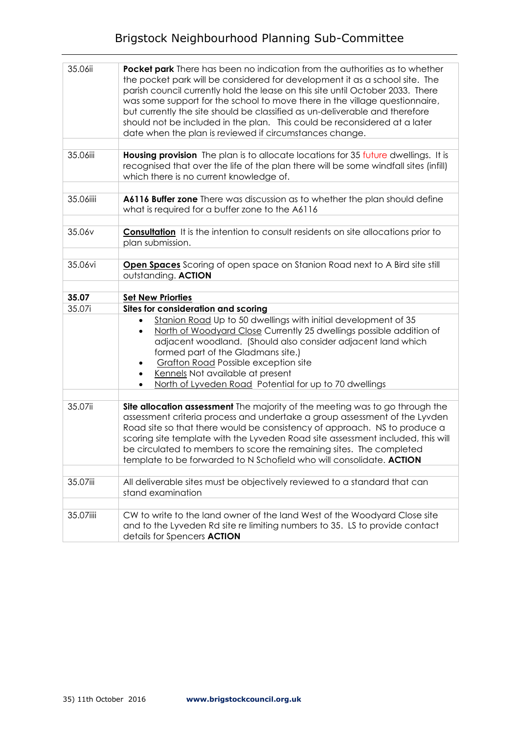## Brigstock Neighbourhood Planning Sub-Committee

| 35.06ii   | Pocket park There has been no indication from the authorities as to whether<br>the pocket park will be considered for development it as a school site. The<br>parish council currently hold the lease on this site until October 2033. There<br>was some support for the school to move there in the village questionnaire,<br>but currently the site should be classified as un-deliverable and therefore<br>should not be included in the plan. This could be reconsidered at a later<br>date when the plan is reviewed if circumstances change. |
|-----------|----------------------------------------------------------------------------------------------------------------------------------------------------------------------------------------------------------------------------------------------------------------------------------------------------------------------------------------------------------------------------------------------------------------------------------------------------------------------------------------------------------------------------------------------------|
| 35.06iii  | Housing provision The plan is to allocate locations for 35 future dwellings. It is<br>recognised that over the life of the plan there will be some windfall sites (infill)<br>which there is no current knowledge of.                                                                                                                                                                                                                                                                                                                              |
| 35.06iiii | A6116 Buffer zone There was discussion as to whether the plan should define<br>what is required for a buffer zone to the A6116                                                                                                                                                                                                                                                                                                                                                                                                                     |
| 35.06v    | <b>Consultation</b> It is the intention to consult residents on site allocations prior to<br>plan submission.                                                                                                                                                                                                                                                                                                                                                                                                                                      |
| 35.06vi   | <b>Open Spaces</b> Scoring of open space on Stanion Road next to A Bird site still<br>outstanding. ACTION                                                                                                                                                                                                                                                                                                                                                                                                                                          |
| 35.07     | <b>Set New Priorties</b>                                                                                                                                                                                                                                                                                                                                                                                                                                                                                                                           |
| 35.07i    | Sites for consideration and scoring                                                                                                                                                                                                                                                                                                                                                                                                                                                                                                                |
|           | Stanion Road Up to 50 dwellings with initial development of 35<br>North of Woodyard Close Currently 25 dwellings possible addition of<br>adjacent woodland. (Should also consider adjacent land which<br>formed part of the Gladmans site.)<br><b>Grafton Road Possible exception site</b><br>Kennels Not available at present<br>North of Lyveden Road Potential for up to 70 dwellings<br>٠                                                                                                                                                      |
|           |                                                                                                                                                                                                                                                                                                                                                                                                                                                                                                                                                    |
| 35.07ii   | Site allocation assessment The majority of the meeting was to go through the<br>assessment criteria process and undertake a group assessment of the Lyvden<br>Road site so that there would be consistency of approach. NS to produce a<br>scoring site template with the Lyveden Road site assessment included, this will<br>be circulated to members to score the remaining sites. The completed<br>template to be forwarded to N Schofield who will consolidate. ACTION                                                                         |
| 35.07iii  | All deliverable sites must be objectively reviewed to a standard that can<br>stand examination                                                                                                                                                                                                                                                                                                                                                                                                                                                     |
|           |                                                                                                                                                                                                                                                                                                                                                                                                                                                                                                                                                    |
| 35.07iiii | CW to write to the land owner of the land West of the Woodyard Close site<br>and to the Lyveden Rd site re limiting numbers to 35. LS to provide contact<br>details for Spencers <b>ACTION</b>                                                                                                                                                                                                                                                                                                                                                     |